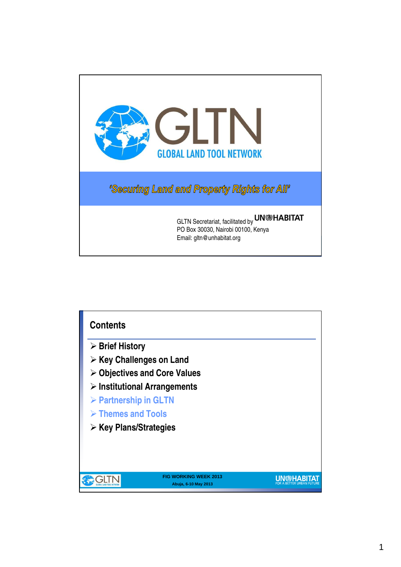

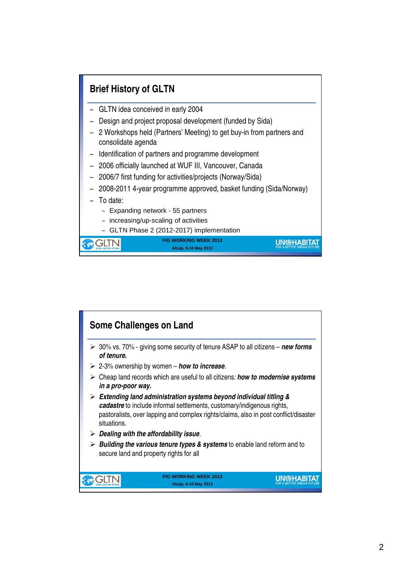

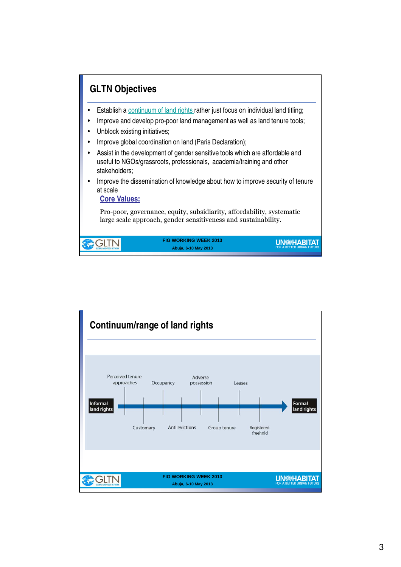

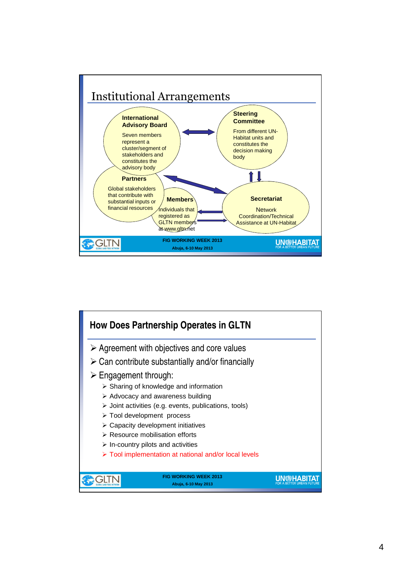

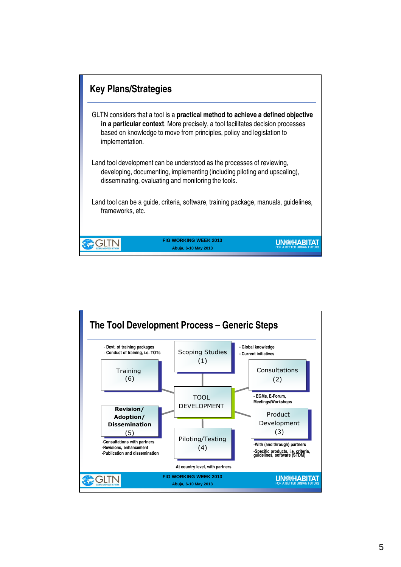

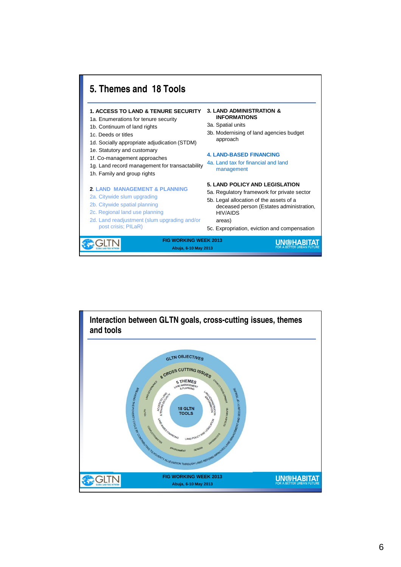